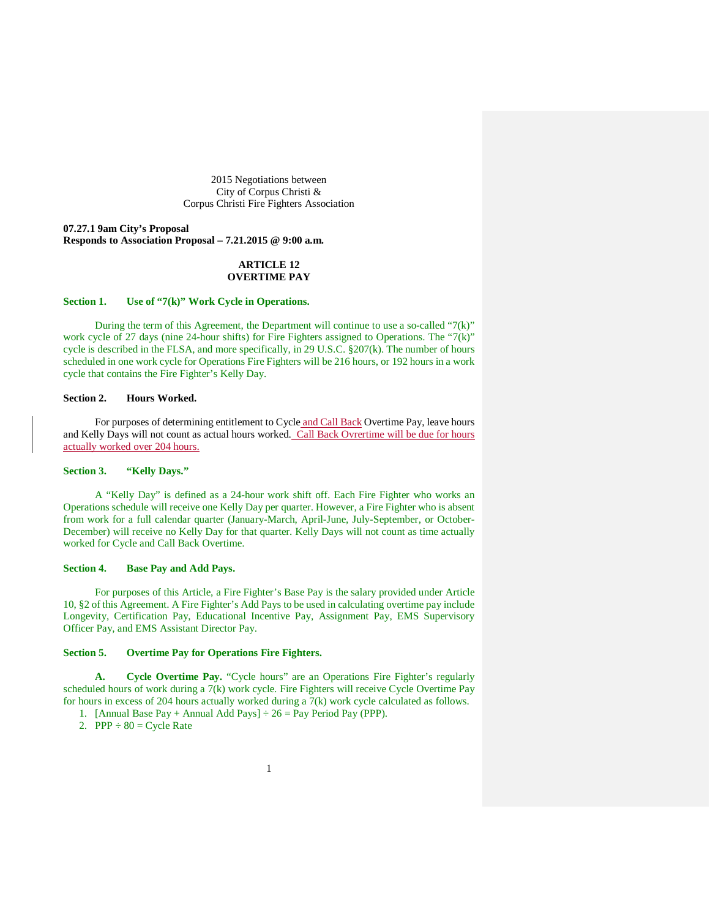2015 Negotiations between City of Corpus Christi & Corpus Christi Fire Fighters Association

**07.27.1 9am City's Proposal Responds to Association Proposal – 7.21.2015 @ 9:00 a.m.**

# **ARTICLE 12 OVERTIME PAY**

# **Section 1. Use of "7(k)" Work Cycle in Operations.**

During the term of this Agreement, the Department will continue to use a so-called "7(k)" work cycle of 27 days (nine 24-hour shifts) for Fire Fighters assigned to Operations. The "7(k)" cycle is described in the FLSA, and more specifically, in 29 U.S.C. §207(k). The number of hours scheduled in one work cycle for Operations Fire Fighters will be 216 hours, or 192 hours in a work cycle that contains the Fire Fighter's Kelly Day.

# **Section 2. Hours Worked.**

For purposes of determining entitlement to Cycle and Call Back Overtime Pay, leave hours and Kelly Days will not count as actual hours worked. Call Back Ovrertime will be due for hours actually worked over 204 hours.

### **Section 3. "Kelly Days."**

A "Kelly Day" is defined as a 24-hour work shift off. Each Fire Fighter who works an Operations schedule will receive one Kelly Day per quarter. However, a Fire Fighter who is absent from work for a full calendar quarter (January-March, April-June, July-September, or October-December) will receive no Kelly Day for that quarter. Kelly Days will not count as time actually worked for Cycle and Call Back Overtime.

#### **Section 4. Base Pay and Add Pays.**

For purposes of this Article, a Fire Fighter's Base Pay is the salary provided under Article 10, §2 of this Agreement. A Fire Fighter's Add Pays to be used in calculating overtime pay include Longevity, Certification Pay, Educational Incentive Pay, Assignment Pay, EMS Supervisory Officer Pay, and EMS Assistant Director Pay.

### **Section 5. Overtime Pay for Operations Fire Fighters.**

**A. Cycle Overtime Pay.** "Cycle hours" are an Operations Fire Fighter's regularly scheduled hours of work during a 7(k) work cycle. Fire Fighters will receive Cycle Overtime Pay for hours in excess of 204 hours actually worked during a 7(k) work cycle calculated as follows.

1. [Annual Base Pay + Annual Add Pays]  $\div 26$  = Pay Period Pay (PPP).

2. PPP  $\div 80 = \text{Cycle Rate}$